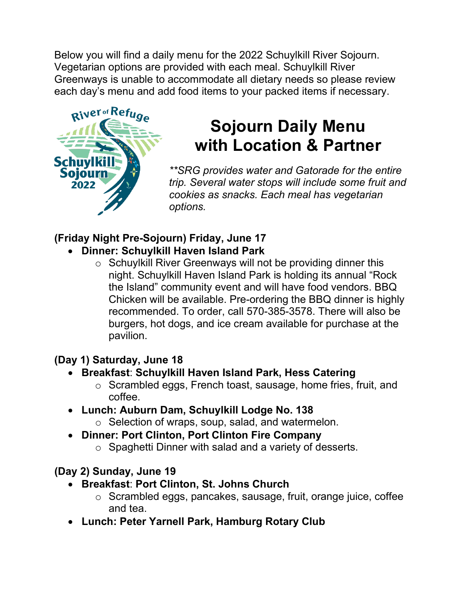Below you will find a daily menu for the 2022 Schuylkill River Sojourn. Vegetarian options are provided with each meal. Schuylkill River Greenways is unable to accommodate all dietary needs so please review each day's menu and add food items to your packed items if necessary.



# **Sojourn Daily Menu with Location & Partner**

*\*\*SRG provides water and Gatorade for the entire trip. Several water stops will include some fruit and cookies as snacks. Each meal has vegetarian options.* 

## **(Friday Night Pre-Sojourn) Friday, June 17**

- **Dinner: Schuylkill Haven Island Park** 
	- o Schuylkill River Greenways will not be providing dinner this night. Schuylkill Haven Island Park is holding its annual "Rock the Island" community event and will have food vendors. BBQ Chicken will be available. Pre-ordering the BBQ dinner is highly recommended. To order, call 570-385-3578. There will also be burgers, hot dogs, and ice cream available for purchase at the pavilion.

### **(Day 1) Saturday, June 18**

- **Breakfast**: **Schuylkill Haven Island Park, Hess Catering**
	- o Scrambled eggs, French toast, sausage, home fries, fruit, and coffee.
- **Lunch: Auburn Dam, Schuylkill Lodge No. 138**
	- o Selection of wraps, soup, salad, and watermelon.
- **Dinner: Port Clinton, Port Clinton Fire Company** 
	- o Spaghetti Dinner with salad and a variety of desserts.

#### **(Day 2) Sunday, June 19**

- **Breakfast**: **Port Clinton, St. Johns Church**
	- o Scrambled eggs, pancakes, sausage, fruit, orange juice, coffee and tea.
- **Lunch: Peter Yarnell Park, Hamburg Rotary Club**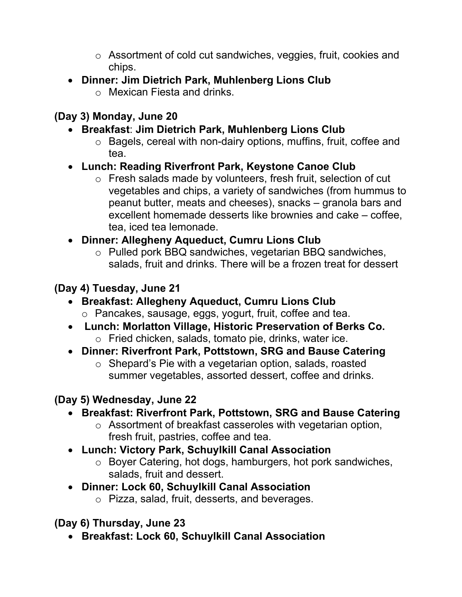- o Assortment of cold cut sandwiches, veggies, fruit, cookies and chips.
- **Dinner: Jim Dietrich Park, Muhlenberg Lions Club**
	- o Mexican Fiesta and drinks.

### **(Day 3) Monday, June 20**

- **Breakfast**: **Jim Dietrich Park, Muhlenberg Lions Club**
	- o Bagels, cereal with non-dairy options, muffins, fruit, coffee and tea.
- **Lunch: Reading Riverfront Park, Keystone Canoe Club**
	- o Fresh salads made by volunteers, fresh fruit, selection of cut vegetables and chips, a variety of sandwiches (from hummus to peanut butter, meats and cheeses), snacks – granola bars and excellent homemade desserts like brownies and cake – coffee, tea, iced tea lemonade.
- **Dinner: Allegheny Aqueduct, Cumru Lions Club**
	- o Pulled pork BBQ sandwiches, vegetarian BBQ sandwiches, salads, fruit and drinks. There will be a frozen treat for dessert

### **(Day 4) Tuesday, June 21**

- **Breakfast: Allegheny Aqueduct, Cumru Lions Club**
	- o Pancakes, sausage, eggs, yogurt, fruit, coffee and tea.
- **Lunch: Morlatton Village, Historic Preservation of Berks Co.** o Fried chicken, salads, tomato pie, drinks, water ice.
- **Dinner: Riverfront Park, Pottstown, SRG and Bause Catering** 
	- o Shepard's Pie with a vegetarian option, salads, roasted summer vegetables, assorted dessert, coffee and drinks.

### **(Day 5) Wednesday, June 22**

- **Breakfast: Riverfront Park, Pottstown, SRG and Bause Catering**
	- o Assortment of breakfast casseroles with vegetarian option, fresh fruit, pastries, coffee and tea.
- **Lunch: Victory Park, Schuylkill Canal Association**
	- o Boyer Catering, hot dogs, hamburgers, hot pork sandwiches, salads, fruit and dessert.
- **Dinner: Lock 60, Schuylkill Canal Association**
	- o Pizza, salad, fruit, desserts, and beverages.

### **(Day 6) Thursday, June 23**

• **Breakfast: Lock 60, Schuylkill Canal Association**